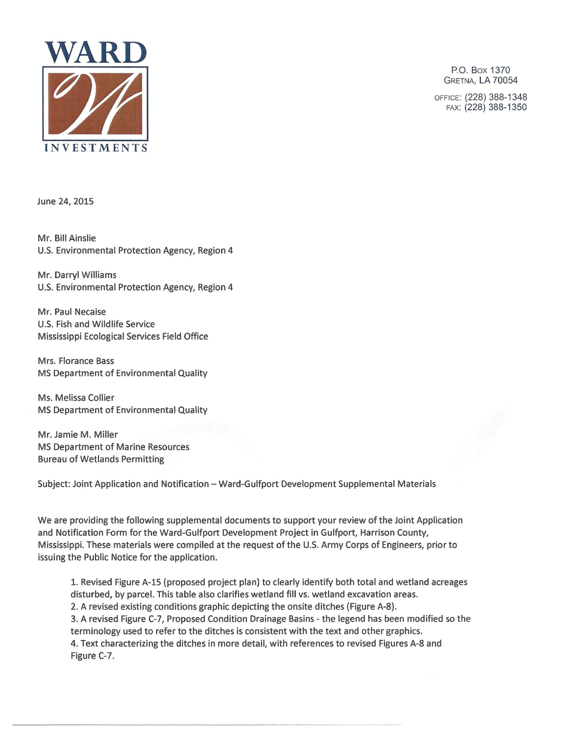

P.O. Box 1370 GRETNA, LA 70054

OFFICE: (228) 388-1348 FAX: (228) 388-1350

June 24, 2015

Mr. Bill Ainslie U.S. Environmental Protection Agency, Region 4

Mr. Darryl Williams U.S. Environmental Protection Agency, Region 4

Mr. Paul Necaise U.S. Fish and Wildlife Service Mississippi Ecological Services Field Office

Mrs. Florance Bass MS Department of Environmental Quality

Ms. Melissa Collier MS Department of Environmental Quality

Mr. Jamie M. Miller MS Department of Marine Resources Bureau of Wetlands Permitting

Subject: Joint Application and Notification - Ward-Gulfport Development Supplemental Materials

We are providing the following supplemental documents to support your review of the Joint Application and Notification Form for the Ward-Gulfport Development Project in Gulfport, Harrison County, Mississippi. These materials were compiled at the request of the U.S. Army Corps of Engineers, prior to issuing the Public Notice for the application.

1. Revised Figure A-iS (proposed project plan) to clearly identify both total and wetland acreages disturbed, by parcel. This table also clarifies wetland fill vs. wetland excavation areas. 2. A revised existing conditions graphic depicting the onsite ditches (Figure A-8). 3. A revised Figure C-7, Proposed Condition Drainage Basins - the legend has been modified so the terminology used to refer to the ditches is consistent with the text and other graphics. 4. Text characterizing the ditches in more detail, with references to revised Figures A-8 and Figure C-7.